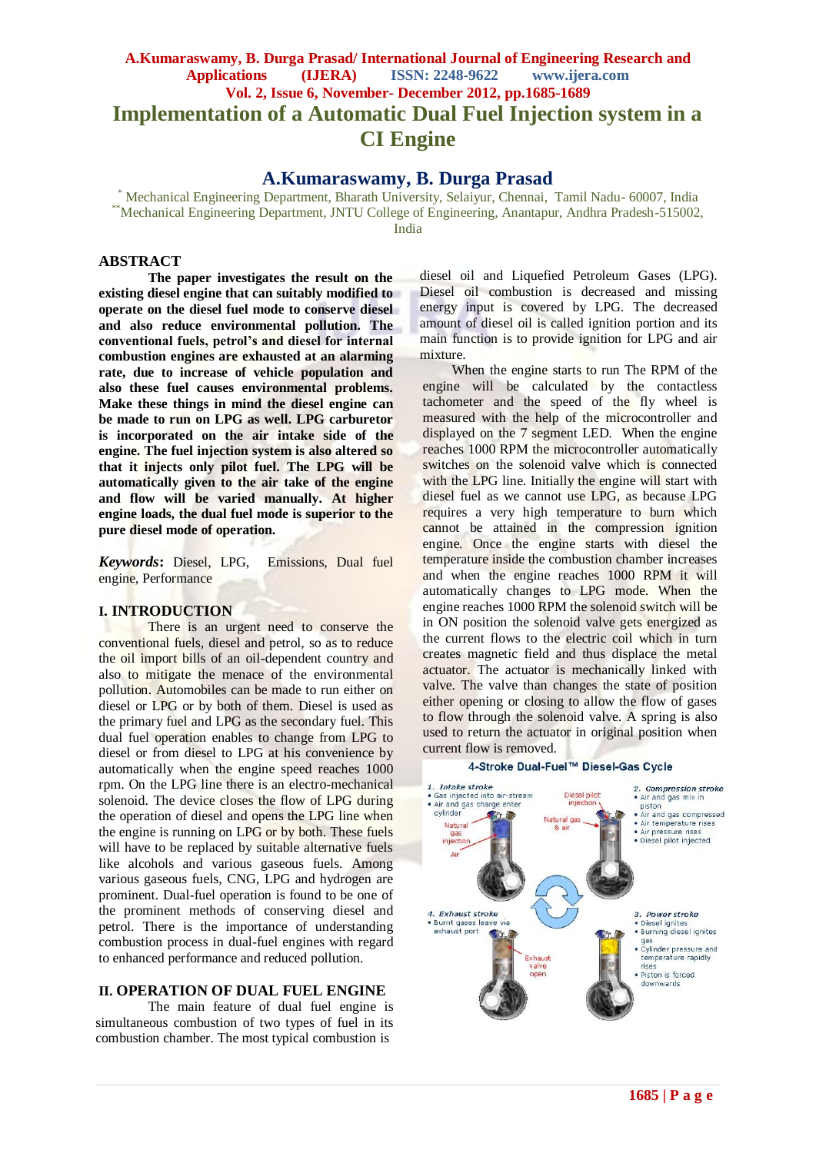# **A.Kumaraswamy, B. Durga Prasad/ International Journal of Engineering Research and Applications (IJERA) ISSN: 2248-9622 www.ijera.com Vol. 2, Issue 6, November- December 2012, pp.1685-1689 Implementation of a Automatic Dual Fuel Injection system in a CI Engine**

**A.Kumaraswamy, B. Durga Prasad**

\* Mechanical Engineering Department, Bharath University, Selaiyur, Chennai, Tamil Nadu- 60007, India \*\*Mechanical Engineering Department, JNTU College of Engineering, Anantapur, Andhra Pradesh-515002, India

#### **ABSTRACT**

**The paper investigates the result on the existing diesel engine that can suitably modified to operate on the diesel fuel mode to conserve diesel and also reduce environmental pollution. The conventional fuels, petrol's and diesel for internal combustion engines are exhausted at an alarming rate, due to increase of vehicle population and also these fuel causes environmental problems. Make these things in mind the diesel engine can be made to run on LPG as well. LPG carburetor is incorporated on the air intake side of the engine. The fuel injection system is also altered so that it injects only pilot fuel. The LPG will be automatically given to the air take of the engine and flow will be varied manually. At higher engine loads, the dual fuel mode is superior to the pure diesel mode of operation.**

*Keywords***:** Diesel, LPG, Emissions, Dual fuel engine, Performance

#### **I. INTRODUCTION**

There is an urgent need to conserve the conventional fuels, diesel and petrol, so as to reduce the oil import bills of an oil-dependent country and also to mitigate the menace of the environmental pollution. Automobiles can be made to run either on diesel or LPG or by both of them. Diesel is used as the primary fuel and LPG as the secondary fuel. This dual fuel operation enables to change from LPG to diesel or from diesel to LPG at his convenience by automatically when the engine speed reaches 1000 rpm. On the LPG line there is an electro-mechanical solenoid. The device closes the flow of LPG during the operation of diesel and opens the LPG line when the engine is running on LPG or by both. These fuels will have to be replaced by suitable alternative fuels like alcohols and various gaseous fuels. Among various gaseous fuels, CNG, LPG and hydrogen are prominent. Dual-fuel operation is found to be one of the prominent methods of conserving diesel and petrol. There is the importance of understanding combustion process in dual-fuel engines with regard to enhanced performance and reduced pollution.

#### **II. OPERATION OF DUAL FUEL ENGINE**

The main feature of dual fuel engine is simultaneous combustion of two types of fuel in its combustion chamber. The most typical combustion is

diesel oil and Liquefied Petroleum Gases (LPG). Diesel oil combustion is decreased and missing energy input is covered by LPG. The decreased amount of diesel oil is called ignition portion and its main function is to provide ignition for LPG and air mixture.

When the engine starts to run The RPM of the engine will be calculated by the contactless tachometer and the speed of the fly wheel is measured with the help of the microcontroller and displayed on the 7 segment LED. When the engine reaches 1000 RPM the microcontroller automatically switches on the solenoid valve which is connected with the LPG line. Initially the engine will start with diesel fuel as we cannot use LPG, as because LPG requires a very high temperature to burn which cannot be attained in the compression ignition engine. Once the engine starts with diesel the temperature inside the combustion chamber increases and when the engine reaches 1000 RPM it will automatically changes to LPG mode. When the engine reaches 1000 RPM the solenoid switch will be in ON position the solenoid valve gets energized as the current flows to the electric coil which in turn creates magnetic field and thus displace the metal actuator. The actuator is mechanically linked with valve. The valve than changes the state of position either opening or closing to allow the flow of gases to flow through the solenoid valve. A spring is also used to return the actuator in original position when current flow is removed.

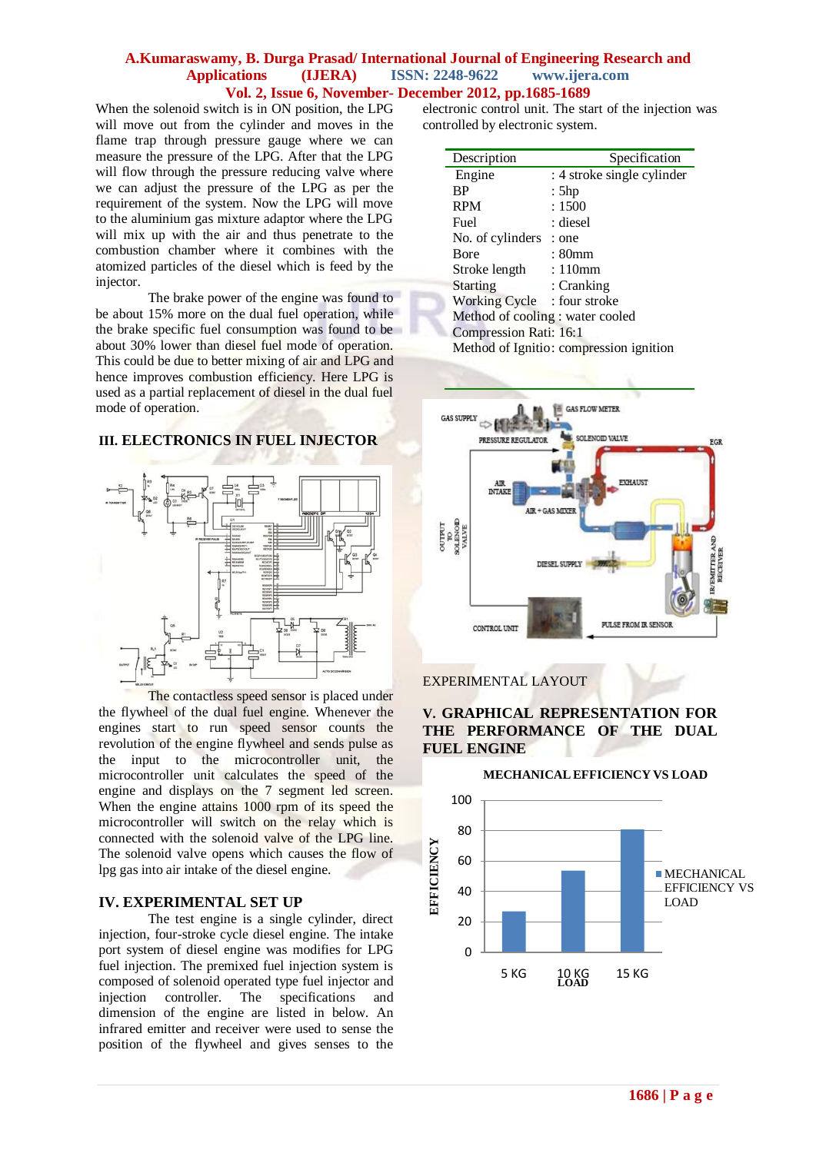When the solenoid switch is in ON position, the LPG will move out from the cylinder and moves in the flame trap through pressure gauge where we can measure the pressure of the LPG. After that the LPG will flow through the pressure reducing valve where we can adjust the pressure of the LPG as per the requirement of the system. Now the LPG will move to the aluminium gas mixture adaptor where the LPG will mix up with the air and thus penetrate to the combustion chamber where it combines with the atomized particles of the diesel which is feed by the injector.

The brake power of the engine was found to be about 15% more on the dual fuel operation, while the brake specific fuel consumption was found to be about 30% lower than diesel fuel mode of operation. This could be due to better mixing of air and LPG and hence improves combustion efficiency. Here LPG is used as a partial replacement of diesel in the dual fuel mode of operation.

# **III. ELECTRONICS IN FUEL INJECTOR**



The contactless speed sensor is placed under the flywheel of the dual fuel engine. Whenever the engines start to run speed sensor counts the revolution of the engine flywheel and sends pulse as the input to the microcontroller unit, the microcontroller unit calculates the speed of the engine and displays on the 7 segment led screen. When the engine attains 1000 rpm of its speed the microcontroller will switch on the relay which is connected with the solenoid valve of the LPG line. The solenoid valve opens which causes the flow of lpg gas into air intake of the diesel engine.

## **IV. EXPERIMENTAL SET UP**

The test engine is a single cylinder, direct injection, four-stroke cycle diesel engine. The intake port system of diesel engine was modifies for LPG fuel injection. The premixed fuel injection system is composed of solenoid operated type fuel injector and injection controller. The specifications and dimension of the engine are listed in below. An infrared emitter and receiver were used to sense the position of the flywheel and gives senses to the

electronic control unit. The start of the injection was controlled by electronic system.

| Description                             | Specification              |
|-----------------------------------------|----------------------------|
| Engine                                  | : 4 stroke single cylinder |
| <b>BP</b>                               | : 5hp                      |
| <b>RPM</b>                              | :1500                      |
| Fuel                                    | : diesel                   |
| No. of cylinders                        | : one                      |
| <b>B</b> ore                            | : 80mm                     |
| Stroke length                           | : 110mm                    |
| <b>Starting</b>                         | : Cranking                 |
| Working Cycle : four stroke             |                            |
| Method of cooling : water cooled        |                            |
| Compression Rati: 16:1                  |                            |
| Method of Ignitio: compression ignition |                            |



# EXPERIMENTAL LAYOUT



#### **MECHANICAL EFFICIENCY VS LOAD**

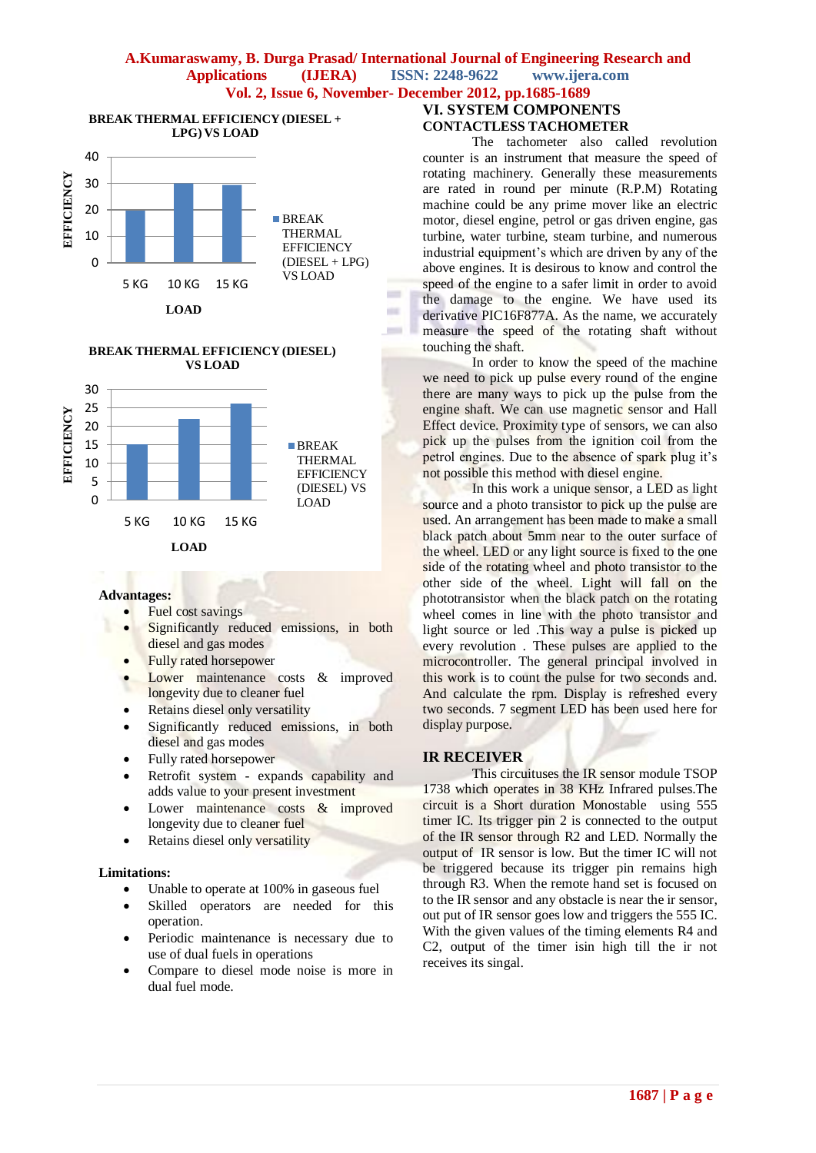

#### **BREAK THERMAL EFFICIENCY (DIESEL) VS LOAD**



#### **Advantages:**

- Fuel cost savings
- Significantly reduced emissions, in both diesel and gas modes
- Fully rated horsepower
- Lower maintenance costs & improved longevity due to cleaner fuel
- Retains diesel only versatility
- Significantly reduced emissions, in both diesel and gas modes
- Fully rated horsepower
- Retrofit system expands capability and adds value to your present investment
- Lower maintenance costs & improved longevity due to cleaner fuel
- Retains diesel only versatility

#### **Limitations:**

- Unable to operate at 100% in gaseous fuel
- Skilled operators are needed for this operation.
- Periodic maintenance is necessary due to use of dual fuels in operations
- Compare to diesel mode noise is more in dual fuel mode.

# **VI. SYSTEM COMPONENTS CONTACTLESS TACHOMETER**

The tachometer also called revolution counter is an instrument that measure the speed of rotating machinery. Generally these measurements are rated in round per minute (R.P.M) Rotating machine could be any prime mover like an electric motor, diesel engine, petrol or gas driven engine, gas turbine, water turbine, steam turbine, and numerous industrial equipment's which are driven by any of the above engines. It is desirous to know and control the speed of the engine to a safer limit in order to avoid the damage to the engine. We have used its derivative PIC16F877A. As the name, we accurately measure the speed of the rotating shaft without touching the shaft.

In order to know the speed of the machine we need to pick up pulse every round of the engine there are many ways to pick up the pulse from the engine shaft. We can use magnetic sensor and Hall Effect device. Proximity type of sensors, we can also pick up the pulses from the ignition coil from the petrol engines. Due to the absence of spark plug it's not possible this method with diesel engine.

In this work a unique sensor, a LED as light source and a photo transistor to pick up the pulse are used. An arrangement has been made to make a small black patch about 5mm near to the outer surface of the wheel. LED or any light source is fixed to the one side of the rotating wheel and photo transistor to the other side of the wheel. Light will fall on the phototransistor when the black patch on the rotating wheel comes in line with the photo transistor and light source or led .This way a pulse is picked up every revolution . These pulses are applied to the microcontroller. The general principal involved in this work is to count the pulse for two seconds and. And calculate the rpm. Display is refreshed every two seconds. 7 segment LED has been used here for display purpose.

# **IR RECEIVER**

This circuituses the IR sensor module TSOP 1738 which operates in 38 KHz Infrared pulses.The circuit is a Short duration Monostable using 555 timer IC. Its trigger pin 2 is connected to the output of the IR sensor through R2 and LED. Normally the output of IR sensor is low. But the timer IC will not be triggered because its trigger pin remains high through R3. When the remote hand set is focused on to the IR sensor and any obstacle is near the ir sensor, out put of IR sensor goes low and triggers the 555 IC. With the given values of the timing elements R4 and C2, output of the timer isin high till the ir not receives its singal.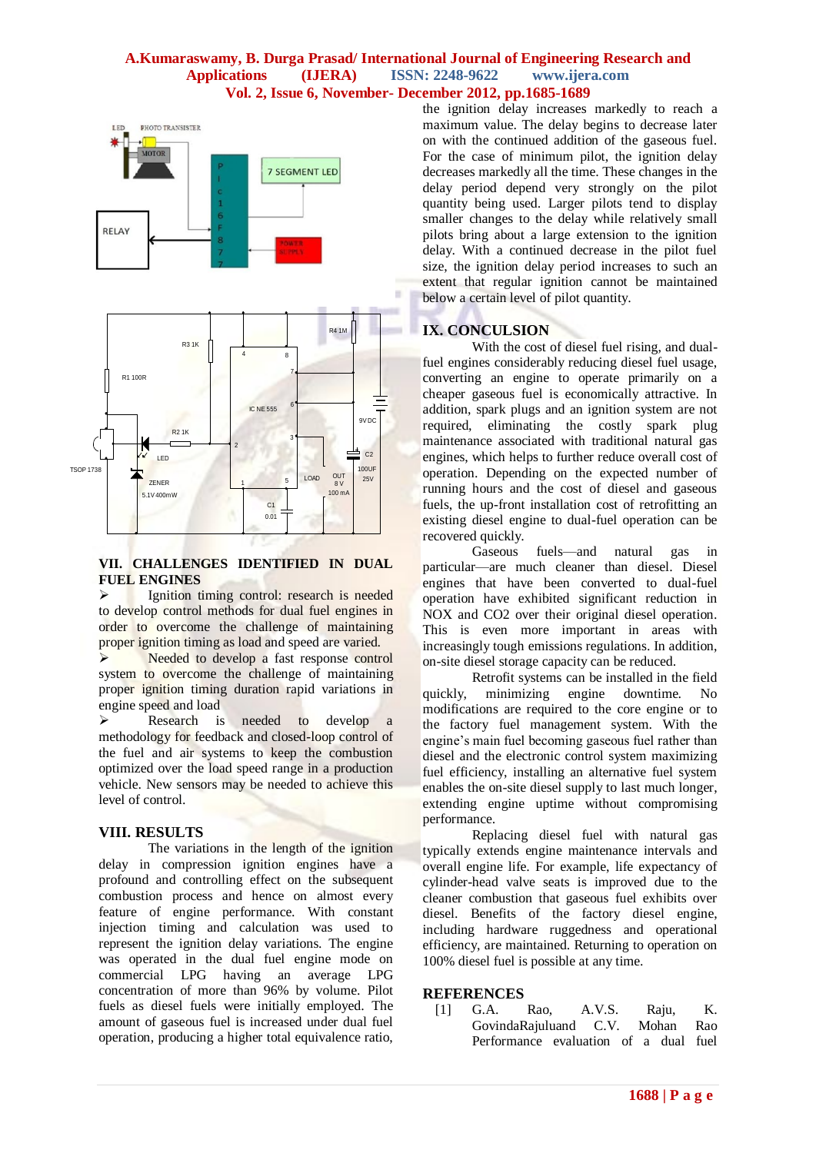

#### **VII. CHALLENGES IDENTIFIED IN DUAL FUEL ENGINES**

**EXECUTE:** Ignition timing control: research is needed to develop control methods for dual fuel engines in order to overcome the challenge of maintaining proper ignition timing as load and speed are varied.

Needed to develop a fast response control system to overcome the challenge of maintaining proper ignition timing duration rapid variations in engine speed and load

 Research is needed to develop a methodology for feedback and closed-loop control of the fuel and air systems to keep the combustion optimized over the load speed range in a production vehicle. New sensors may be needed to achieve this level of control.

#### **VIII. RESULTS**

The variations in the length of the ignition delay in compression ignition engines have a profound and controlling effect on the subsequent combustion process and hence on almost every feature of engine performance. With constant injection timing and calculation was used to represent the ignition delay variations. The engine was operated in the dual fuel engine mode on commercial LPG having an average LPG concentration of more than 96% by volume. Pilot fuels as diesel fuels were initially employed. The amount of gaseous fuel is increased under dual fuel operation, producing a higher total equivalence ratio,

the ignition delay increases markedly to reach a maximum value. The delay begins to decrease later on with the continued addition of the gaseous fuel. For the case of minimum pilot, the ignition delay decreases markedly all the time. These changes in the delay period depend very strongly on the pilot quantity being used. Larger pilots tend to display smaller changes to the delay while relatively small pilots bring about a large extension to the ignition delay. With a continued decrease in the pilot fuel size, the ignition delay period increases to such an extent that regular ignition cannot be maintained below a certain level of pilot quantity.

## **IX. CONCULSION**

With the cost of diesel fuel rising, and dualfuel engines considerably reducing diesel fuel usage, converting an engine to operate primarily on a cheaper gaseous fuel is economically attractive. In addition, spark plugs and an ignition system are not required, eliminating the costly spark plug maintenance associated with traditional natural gas engines, which helps to further reduce overall cost of operation. Depending on the expected number of running hours and the cost of diesel and gaseous fuels, the up-front installation cost of retrofitting an existing diesel engine to dual-fuel operation can be recovered quickly.

fuels—and natural gas in particular—are much cleaner than diesel. Diesel engines that have been converted to dual-fuel operation have exhibited significant reduction in NOX and CO2 over their original diesel operation. This is even more important in areas with increasingly tough emissions regulations. In addition, on-site diesel storage capacity can be reduced.

Retrofit systems can be installed in the field quickly, minimizing engine downtime. No modifications are required to the core engine or to the factory fuel management system. With the engine's main fuel becoming gaseous fuel rather than diesel and the electronic control system maximizing fuel efficiency, installing an alternative fuel system enables the on-site diesel supply to last much longer, extending engine uptime without compromising performance.

Replacing diesel fuel with natural gas typically extends engine maintenance intervals and overall engine life. For example, life expectancy of cylinder-head valve seats is improved due to the cleaner combustion that gaseous fuel exhibits over diesel. Benefits of the factory diesel engine, including hardware ruggedness and operational efficiency, are maintained. Returning to operation on 100% diesel fuel is possible at any time.

#### **REFERENCES**

[1] G.A. Rao, A.V.S. Raju, K. GovindaRajuluand C.V. Mohan Rao Performance evaluation of a dual fuel